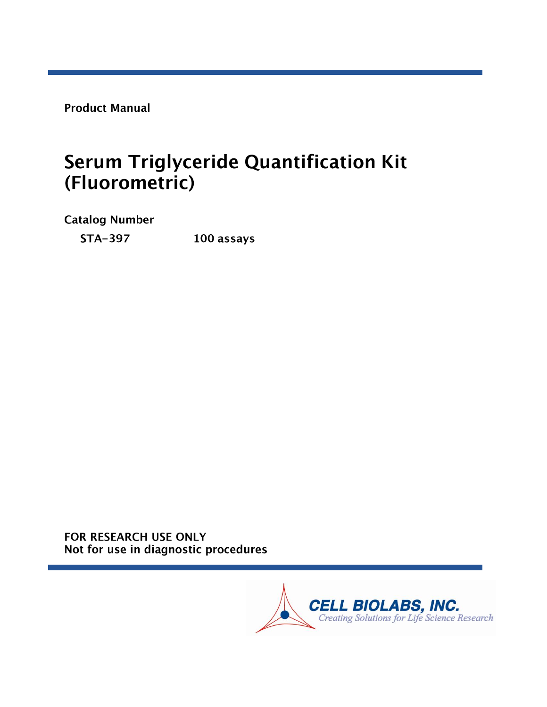**Product Manual** 

# **Serum Triglyceride Quantification Kit** (Fluorometric)

**Catalog Number** 

**STA-397** 100 assays

FOR RESEARCH USE ONLY Not for use in diagnostic procedures

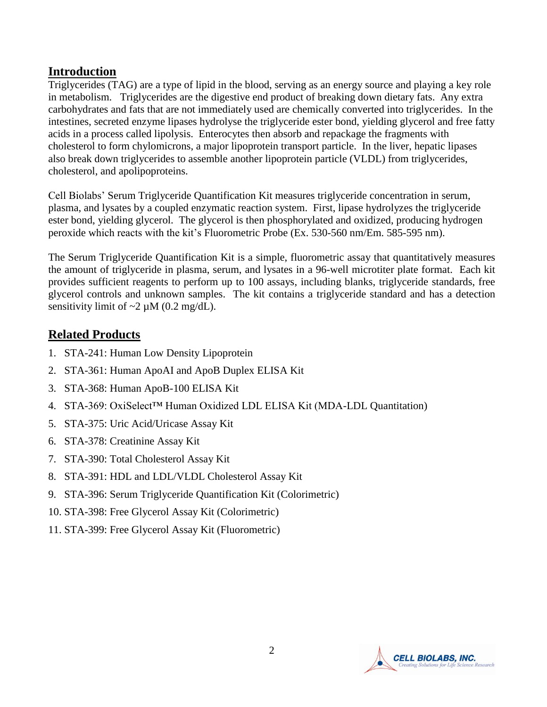#### **Introduction**

Triglycerides (TAG) are a type of lipid in the blood, serving as an energy source and playing a key role in metabolism. Triglycerides are the digestive end product of breaking down dietary fats. Any extra carbohydrates and fats that are not immediately used are chemically converted into triglycerides. In the intestines, secreted enzyme lipases hydrolyse the triglyceride ester bond, yielding glycerol and free fatty acids in a process called lipolysis. Enterocytes then absorb and repackage the fragments with cholesterol to form chylomicrons, a major lipoprotein transport particle. In the liver, hepatic lipases also break down triglycerides to assemble another lipoprotein particle (VLDL) from triglycerides, cholesterol, and apolipoproteins.

Cell Biolabs' Serum Triglyceride Quantification Kit measures triglyceride concentration in serum, plasma, and lysates by a coupled enzymatic reaction system. First, lipase hydrolyzes the triglyceride ester bond, yielding glycerol. The glycerol is then phosphorylated and oxidized, producing hydrogen peroxide which reacts with the kit's Fluorometric Probe (Ex. 530-560 nm/Em. 585-595 nm).

The Serum Triglyceride Quantification Kit is a simple, fluorometric assay that quantitatively measures the amount of triglyceride in plasma, serum, and lysates in a 96-well microtiter plate format. Each kit provides sufficient reagents to perform up to 100 assays, including blanks, triglyceride standards, free glycerol controls and unknown samples. The kit contains a triglyceride standard and has a detection sensitivity limit of  $\sim$ 2 µM (0.2 mg/dL).

## **Related Products**

- 1. STA-241: Human Low Density Lipoprotein
- 2. STA-361: Human ApoAI and ApoB Duplex ELISA Kit
- 3. STA-368: Human ApoB-100 ELISA Kit
- 4. STA-369: OxiSelect™ Human Oxidized LDL ELISA Kit (MDA-LDL Quantitation)
- 5. STA-375: Uric Acid/Uricase Assay Kit
- 6. STA-378: Creatinine Assay Kit
- 7. STA-390: Total Cholesterol Assay Kit
- 8. STA-391: HDL and LDL/VLDL Cholesterol Assay Kit
- 9. STA-396: Serum Triglyceride Quantification Kit (Colorimetric)
- 10. STA-398: Free Glycerol Assay Kit (Colorimetric)
- 11. STA-399: Free Glycerol Assay Kit (Fluorometric)

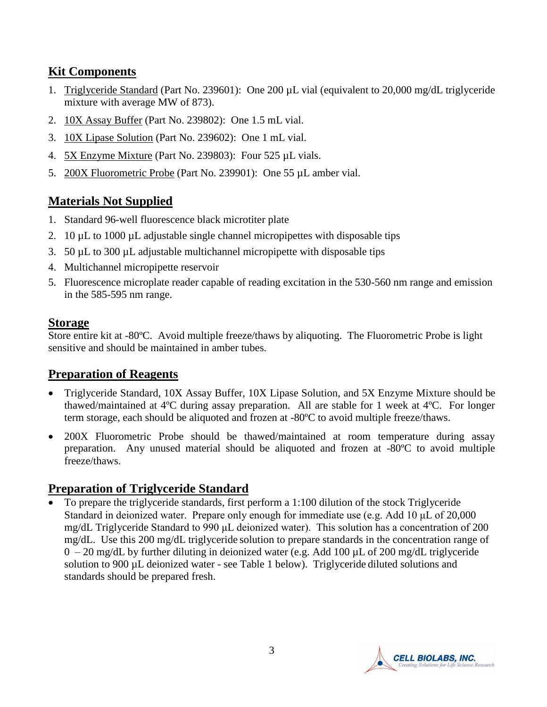## **Kit Components**

- 1. Triglyceride Standard (Part No. 239601): One 200 µL vial (equivalent to 20,000 mg/dL triglyceride mixture with average MW of 873).
- 2. 10X Assay Buffer (Part No. 239802): One 1.5 mL vial.
- 3. 10X Lipase Solution (Part No. 239602): One 1 mL vial.
- 4. 5X Enzyme Mixture (Part No. 239803): Four 525 µL vials.
- 5. 200X Fluorometric Probe (Part No. 239901): One 55 µL amber vial.

# **Materials Not Supplied**

- 1. Standard 96-well fluorescence black microtiter plate
- 2. 10  $\mu$ L to 1000  $\mu$ L adjustable single channel micropipettes with disposable tips
- 3. 50 µL to 300 µL adjustable multichannel micropipette with disposable tips
- 4. Multichannel micropipette reservoir
- 5. Fluorescence microplate reader capable of reading excitation in the 530-560 nm range and emission in the 585-595 nm range.

## **Storage**

Store entire kit at -80ºC. Avoid multiple freeze/thaws by aliquoting. The Fluorometric Probe is light sensitive and should be maintained in amber tubes.

## **Preparation of Reagents**

- Triglyceride Standard, 10X Assay Buffer, 10X Lipase Solution, and 5X Enzyme Mixture should be thawed/maintained at 4ºC during assay preparation. All are stable for 1 week at 4ºC. For longer term storage, each should be aliquoted and frozen at -80ºC to avoid multiple freeze/thaws.
- 200X Fluorometric Probe should be thawed/maintained at room temperature during assay preparation. Any unused material should be aliquoted and frozen at -80ºC to avoid multiple freeze/thaws.

# **Preparation of Triglyceride Standard**

 To prepare the triglyceride standards, first perform a 1:100 dilution of the stock Triglyceride Standard in deionized water. Prepare only enough for immediate use (e.g. Add 10 μL of 20,000 mg/dL Triglyceride Standard to 990 μL deionized water). This solution has a concentration of 200 mg/dL. Use this 200 mg/dL triglyceride solution to prepare standards in the concentration range of  $0 - 20$  mg/dL by further diluting in deionized water (e.g. Add 100  $\mu$ L of 200 mg/dL triglyceride solution to 900 µL deionized water - see Table 1 below). Triglyceride diluted solutions and standards should be prepared fresh.

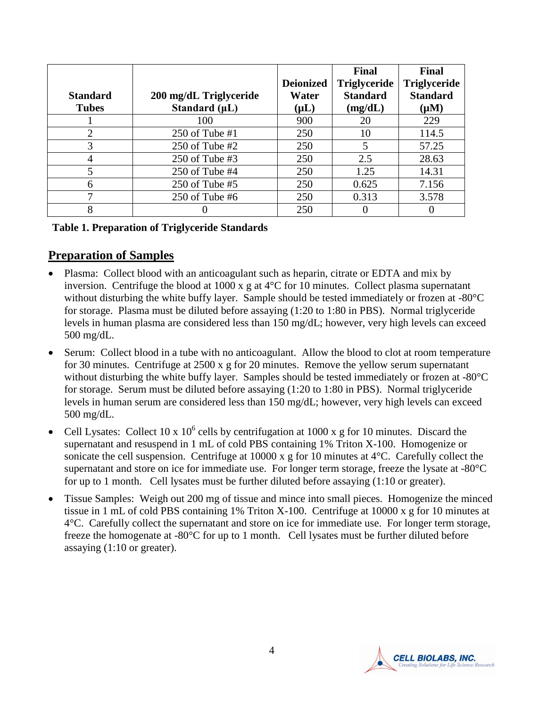|                       |                        |                  | Final               | <b>Final</b>        |
|-----------------------|------------------------|------------------|---------------------|---------------------|
|                       |                        | <b>Deionized</b> | <b>Triglyceride</b> | <b>Triglyceride</b> |
| <b>Standard</b>       | 200 mg/dL Triglyceride | Water            | <b>Standard</b>     | <b>Standard</b>     |
| <b>Tubes</b>          | Standard $(\mu L)$     | $(\mu L)$        | (mg/dL)             | $(\mu M)$           |
|                       | 100                    | 900              | 20                  | 229                 |
| $\mathcal{D}_{\cdot}$ | 250 of Tube #1         | 250              | 10                  | 114.5               |
| 3                     | 250 of Tube $#2$       | 250              | 5                   | 57.25               |
|                       | 250 of Tube $#3$       | 250              | 2.5                 | 28.63               |
| 5                     | $250$ of Tube #4       | 250              | 1.25                | 14.31               |
| 6                     | $250$ of Tube #5       | 250              | 0.625               | 7.156               |
| ┑                     | $250$ of Tube #6       | 250              | 0.313               | 3.578               |
| 8                     |                        | 250              |                     |                     |

#### **Table 1. Preparation of Triglyceride Standards**

#### **Preparation of Samples**

- Plasma: Collect blood with an anticoagulant such as heparin, citrate or EDTA and mix by inversion. Centrifuge the blood at 1000 x g at 4°C for 10 minutes. Collect plasma supernatant without disturbing the white buffy layer. Sample should be tested immediately or frozen at -80°C for storage. Plasma must be diluted before assaying (1:20 to 1:80 in PBS). Normal triglyceride levels in human plasma are considered less than 150 mg/dL; however, very high levels can exceed 500 mg/dL.
- Serum: Collect blood in a tube with no anticoagulant. Allow the blood to clot at room temperature for 30 minutes. Centrifuge at 2500 x g for 20 minutes. Remove the yellow serum supernatant without disturbing the white buffy layer. Samples should be tested immediately or frozen at -80°C for storage. Serum must be diluted before assaying (1:20 to 1:80 in PBS). Normal triglyceride levels in human serum are considered less than 150 mg/dL; however, very high levels can exceed 500 mg/dL.
- Cell Lysates: Collect 10 x  $10^6$  cells by centrifugation at 1000 x g for 10 minutes. Discard the supernatant and resuspend in 1 mL of cold PBS containing 1% Triton X-100. Homogenize or sonicate the cell suspension. Centrifuge at 10000 x g for 10 minutes at 4°C. Carefully collect the supernatant and store on ice for immediate use. For longer term storage, freeze the lysate at -80°C for up to 1 month. Cell lysates must be further diluted before assaying (1:10 or greater).
- Tissue Samples: Weigh out 200 mg of tissue and mince into small pieces. Homogenize the minced tissue in 1 mL of cold PBS containing 1% Triton X-100. Centrifuge at 10000 x g for 10 minutes at 4°C. Carefully collect the supernatant and store on ice for immediate use. For longer term storage, freeze the homogenate at -80°C for up to 1 month. Cell lysates must be further diluted before assaying (1:10 or greater).

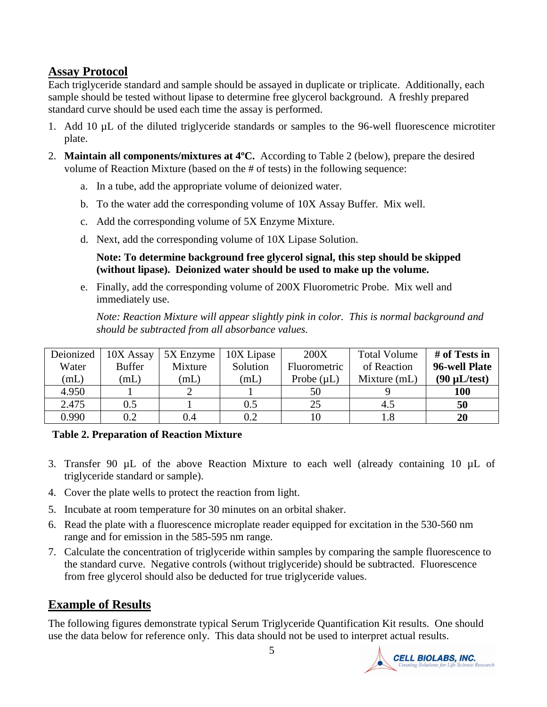## **Assay Protocol**

Each triglyceride standard and sample should be assayed in duplicate or triplicate. Additionally, each sample should be tested without lipase to determine free glycerol background. A freshly prepared standard curve should be used each time the assay is performed.

- 1. Add 10 µL of the diluted triglyceride standards or samples to the 96-well fluorescence microtiter plate.
- 2. **Maintain all components/mixtures at 4ºC.** According to Table 2 (below), prepare the desired volume of Reaction Mixture (based on the # of tests) in the following sequence:
	- a. In a tube, add the appropriate volume of deionized water.
	- b. To the water add the corresponding volume of 10X Assay Buffer. Mix well.
	- c. Add the corresponding volume of 5X Enzyme Mixture.
	- d. Next, add the corresponding volume of 10X Lipase Solution.

**Note: To determine background free glycerol signal, this step should be skipped (without lipase). Deionized water should be used to make up the volume.** 

e. Finally, add the corresponding volume of 200X Fluorometric Probe. Mix well and immediately use.

*Note: Reaction Mixture will appear slightly pink in color. This is normal background and should be subtracted from all absorbance values.*

| Deionized | 10X Assay     | 5X Enzyme | 10X Lipase | 200X                | <b>Total Volume</b> | # of Tests in     |
|-----------|---------------|-----------|------------|---------------------|---------------------|-------------------|
| Water     | <b>Buffer</b> | Mixture   | Solution   | <b>Fluorometric</b> | of Reaction         | 96-well Plate     |
| (mL)      | (mL)          | (mL)      | (mL)       | Probe $(\mu L)$     | Mixture (mL)        | $(90 \mu L/test)$ |
| 4.950     |               |           |            | 50                  |                     | <b>100</b>        |
| 2.475     | 0.5           |           | $0.5\,$    | 25                  | 4.5                 | 50                |
| 0.990     | 0.2           | 0.4       | 0.2        |                     | $1.8\,$             | 20                |

#### **Table 2. Preparation of Reaction Mixture**

- 3. Transfer 90 µL of the above Reaction Mixture to each well (already containing 10 µL of triglyceride standard or sample).
- 4. Cover the plate wells to protect the reaction from light.
- 5. Incubate at room temperature for 30 minutes on an orbital shaker.
- 6. Read the plate with a fluorescence microplate reader equipped for excitation in the 530-560 nm range and for emission in the 585-595 nm range.
- 7. Calculate the concentration of triglyceride within samples by comparing the sample fluorescence to the standard curve. Negative controls (without triglyceride) should be subtracted. Fluorescence from free glycerol should also be deducted for true triglyceride values.

#### **Example of Results**

The following figures demonstrate typical Serum Triglyceride Quantification Kit results. One should use the data below for reference only. This data should not be used to interpret actual results.

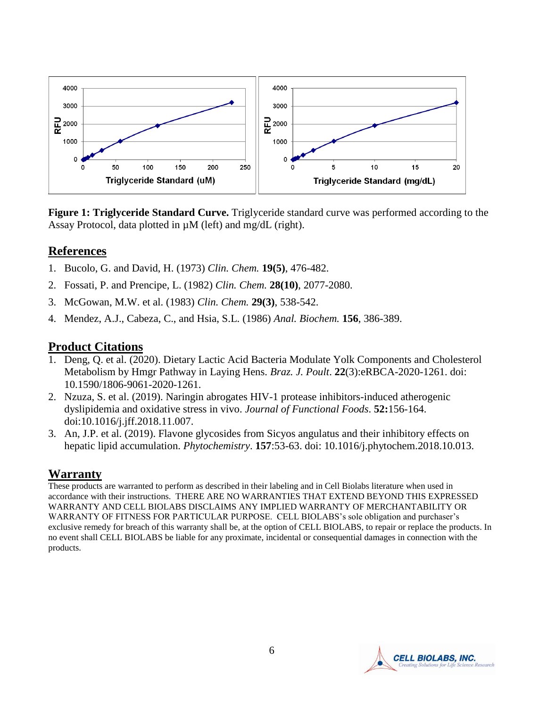

**Figure 1: Triglyceride Standard Curve.** Triglyceride standard curve was performed according to the Assay Protocol, data plotted in  $\mu$ M (left) and mg/dL (right).

#### **References**

- 1. Bucolo, G. and David, H. (1973) *Clin. Chem.* **19(5)**, 476-482.
- 2. Fossati, P. and Prencipe, L. (1982) *Clin. Chem.* **28(10)**, 2077-2080.
- 3. McGowan, M.W. et al. (1983) *Clin. Chem.* **29(3)**, 538-542.
- 4. Mendez, A.J., Cabeza, C., and Hsia, S.L. (1986) *Anal. Biochem.* **156**, 386-389.

#### **Product Citations**

- 1. Deng, Q. et al. (2020). Dietary Lactic Acid Bacteria Modulate Yolk Components and Cholesterol Metabolism by Hmgr Pathway in Laying Hens. *Braz. J. Poult*. **22**(3):eRBCA-2020-1261. doi: 10.1590/1806-9061-2020-1261.
- 2. Nzuza, S. et al. (2019). Naringin abrogates HIV-1 protease inhibitors-induced atherogenic dyslipidemia and oxidative stress in vivo. *Journal of Functional Foods*. **52:**156-164. doi:10.1016/j.jff.2018.11.007.
- 3. An, J.P. et al. (2019). Flavone glycosides from Sicyos angulatus and their inhibitory effects on hepatic lipid accumulation. *Phytochemistry*. **157**:53-63. doi: 10.1016/j.phytochem.2018.10.013.

#### **Warranty**

These products are warranted to perform as described in their labeling and in Cell Biolabs literature when used in accordance with their instructions. THERE ARE NO WARRANTIES THAT EXTEND BEYOND THIS EXPRESSED WARRANTY AND CELL BIOLABS DISCLAIMS ANY IMPLIED WARRANTY OF MERCHANTABILITY OR WARRANTY OF FITNESS FOR PARTICULAR PURPOSE. CELL BIOLABS's sole obligation and purchaser's exclusive remedy for breach of this warranty shall be, at the option of CELL BIOLABS, to repair or replace the products. In no event shall CELL BIOLABS be liable for any proximate, incidental or consequential damages in connection with the products.